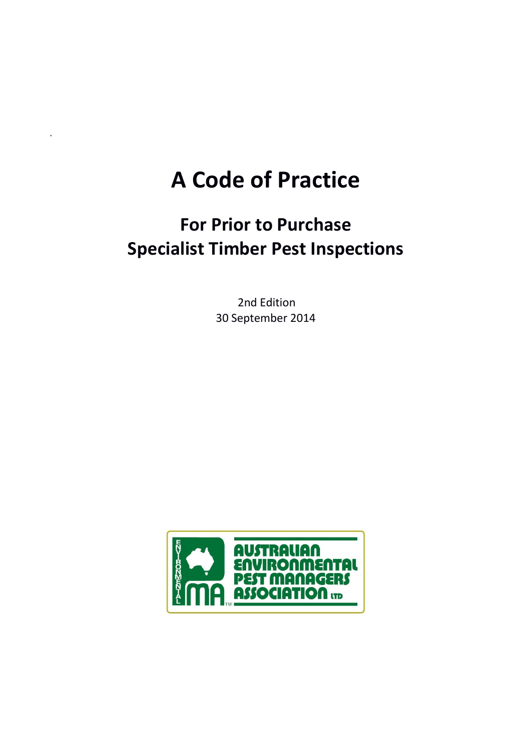# **A Code of Practice**

# **For Prior to Purchase Specialist Timber Pest Inspections**

2nd Edition 30 September 2014

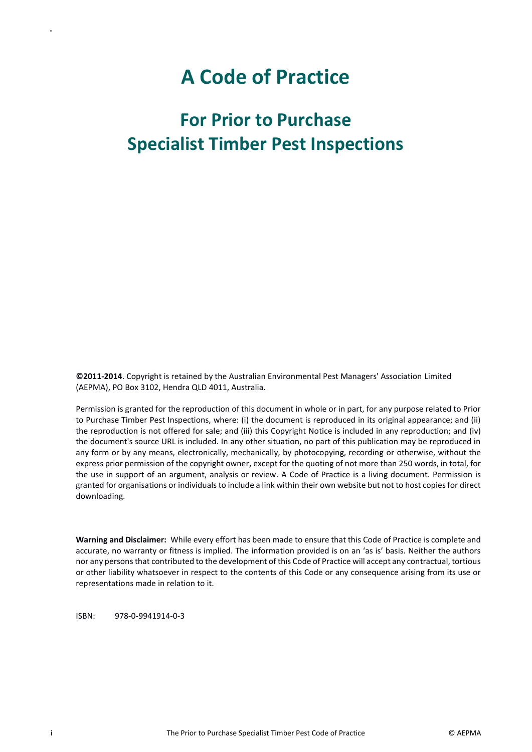# **A Code of Practice**

# **For Prior to Purchase Specialist Timber Pest Inspections**

**©2011-2014**. Copyright is retained by the Australian Environmental Pest Managers' Association Limited (AEPMA), PO Box 3102, Hendra QLD 4011, Australia.

Permission is granted for the reproduction of this document in whole or in part, for any purpose related to Prior to Purchase Timber Pest Inspections, where: (i) the document is reproduced in its original appearance; and (ii) the reproduction is not offered for sale; and (iii) this Copyright Notice is included in any reproduction; and (iv) the document's source URL is included. In any other situation, no part of this publication may be reproduced in any form or by any means, electronically, mechanically, by photocopying, recording or otherwise, without the express prior permission of the copyright owner, except for the quoting of not more than 250 words, in total, for the use in support of an argument, analysis or review. A Code of Practice is a living document. Permission is granted for organisations or individuals to include a link within their own website but not to host copies for direct downloading.

**Warning and Disclaimer:** While every effort has been made to ensure that this Code of Practice is complete and accurate, no warranty or fitness is implied. The information provided is on an 'as is' basis. Neither the authors nor any persons that contributed to the development of this Code of Practice will accept any contractual, tortious or other liability whatsoever in respect to the contents of this Code or any consequence arising from its use or representations made in relation to it.

ISBN: 978-0-9941914-0-3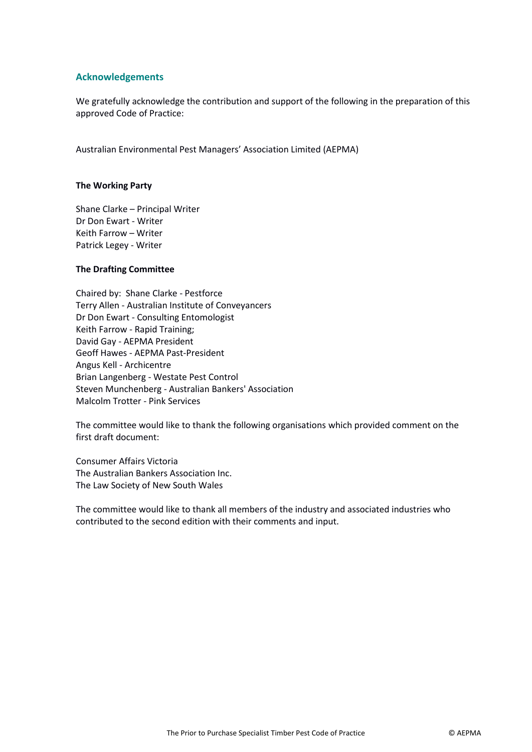#### **Acknowledgements**

We gratefully acknowledge the contribution and support of the following in the preparation of this approved Code of Practice:

Australian Environmental Pest Managers' Association Limited (AEPMA)

#### **The Working Party**

Shane Clarke – Principal Writer Dr Don Ewart - Writer Keith Farrow – Writer Patrick Legey - Writer

#### **The Drafting Committee**

Chaired by: Shane Clarke - Pestforce Terry Allen - Australian Institute of Conveyancers Dr Don Ewart - Consulting Entomologist Keith Farrow - Rapid Training; David Gay - AEPMA President Geoff Hawes - AEPMA Past-President Angus Kell - Archicentre Brian Langenberg - Westate Pest Control Steven Munchenberg - Australian Bankers' Association Malcolm Trotter - Pink Services

The committee would like to thank the following organisations which provided comment on the first draft document:

Consumer Affairs Victoria The Australian Bankers Association Inc. The Law Society of New South Wales

The committee would like to thank all members of the industry and associated industries who contributed to the second edition with their comments and input.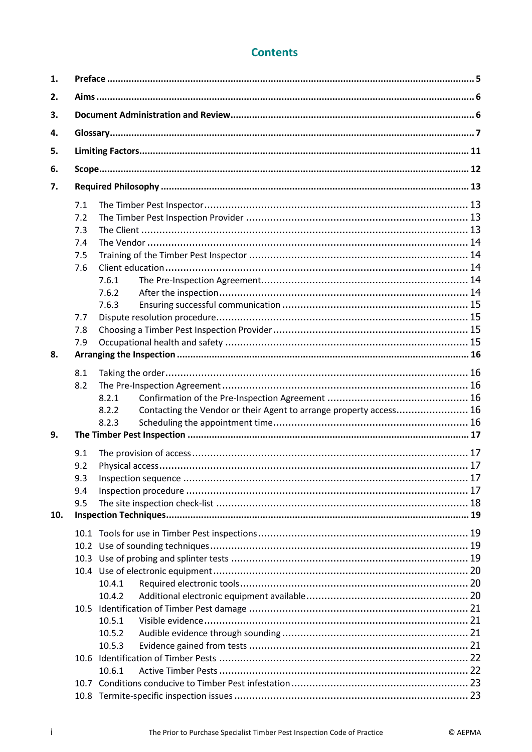# **Contents**

| 1.  |      |                                                                             |  |  |  |  |  |
|-----|------|-----------------------------------------------------------------------------|--|--|--|--|--|
| 2.  |      |                                                                             |  |  |  |  |  |
| 3.  |      |                                                                             |  |  |  |  |  |
| 4.  |      |                                                                             |  |  |  |  |  |
| 5.  |      |                                                                             |  |  |  |  |  |
| 6.  |      |                                                                             |  |  |  |  |  |
| 7.  |      |                                                                             |  |  |  |  |  |
|     | 7.1  |                                                                             |  |  |  |  |  |
|     | 7.2  |                                                                             |  |  |  |  |  |
|     | 7.3  |                                                                             |  |  |  |  |  |
|     | 7.4  |                                                                             |  |  |  |  |  |
|     | 7.5  |                                                                             |  |  |  |  |  |
|     | 7.6  |                                                                             |  |  |  |  |  |
|     |      | 7.6.1                                                                       |  |  |  |  |  |
|     |      | 7.6.2                                                                       |  |  |  |  |  |
|     |      | 7.6.3                                                                       |  |  |  |  |  |
|     | 7.7  |                                                                             |  |  |  |  |  |
|     | 7.8  |                                                                             |  |  |  |  |  |
|     | 7.9  |                                                                             |  |  |  |  |  |
| 8.  |      |                                                                             |  |  |  |  |  |
|     | 8.1  |                                                                             |  |  |  |  |  |
|     | 8.2  |                                                                             |  |  |  |  |  |
|     |      | 8.2.1                                                                       |  |  |  |  |  |
|     |      | Contacting the Vendor or their Agent to arrange property access 16<br>8.2.2 |  |  |  |  |  |
|     |      | 8.2.3                                                                       |  |  |  |  |  |
| 9.  |      |                                                                             |  |  |  |  |  |
|     | 9.1  |                                                                             |  |  |  |  |  |
|     | 9.2  |                                                                             |  |  |  |  |  |
|     | 9.3  |                                                                             |  |  |  |  |  |
|     | 9.4  |                                                                             |  |  |  |  |  |
|     | 9.5  |                                                                             |  |  |  |  |  |
| 10. |      |                                                                             |  |  |  |  |  |
|     |      |                                                                             |  |  |  |  |  |
|     |      |                                                                             |  |  |  |  |  |
|     |      |                                                                             |  |  |  |  |  |
|     |      |                                                                             |  |  |  |  |  |
|     |      | 10.4.1                                                                      |  |  |  |  |  |
|     |      | 10.4.2                                                                      |  |  |  |  |  |
|     | 10.5 |                                                                             |  |  |  |  |  |
|     |      | 10.5.1                                                                      |  |  |  |  |  |
|     |      | 10.5.2                                                                      |  |  |  |  |  |
|     |      | 10.5.3                                                                      |  |  |  |  |  |
|     |      |                                                                             |  |  |  |  |  |
|     |      | 10.6.1                                                                      |  |  |  |  |  |
|     |      |                                                                             |  |  |  |  |  |
|     |      |                                                                             |  |  |  |  |  |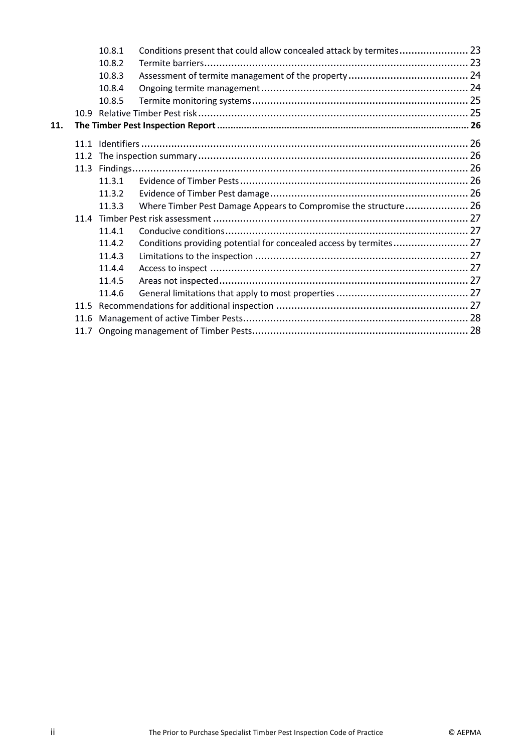|     |      | 10.8.1 | Conditions present that could allow concealed attack by termites 23 |  |  |  |
|-----|------|--------|---------------------------------------------------------------------|--|--|--|
|     |      | 10.8.2 |                                                                     |  |  |  |
|     |      | 10.8.3 |                                                                     |  |  |  |
|     |      | 10.8.4 |                                                                     |  |  |  |
|     |      | 10.8.5 |                                                                     |  |  |  |
|     |      |        |                                                                     |  |  |  |
| 11. |      |        |                                                                     |  |  |  |
|     |      |        |                                                                     |  |  |  |
|     |      |        |                                                                     |  |  |  |
|     |      |        |                                                                     |  |  |  |
|     |      |        |                                                                     |  |  |  |
|     |      | 11.3.1 |                                                                     |  |  |  |
|     |      | 11.3.2 |                                                                     |  |  |  |
|     |      | 11.3.3 | Where Timber Pest Damage Appears to Compromise the structure 26     |  |  |  |
|     |      |        |                                                                     |  |  |  |
|     |      | 11.4.1 |                                                                     |  |  |  |
|     |      | 11.4.2 | Conditions providing potential for concealed access by termites 27  |  |  |  |
|     |      | 11.4.3 |                                                                     |  |  |  |
|     |      | 11.4.4 |                                                                     |  |  |  |
|     |      | 11.4.5 |                                                                     |  |  |  |
|     |      | 11.4.6 |                                                                     |  |  |  |
|     | 11.5 |        |                                                                     |  |  |  |
|     | 11.6 |        |                                                                     |  |  |  |
|     |      |        |                                                                     |  |  |  |
|     |      |        |                                                                     |  |  |  |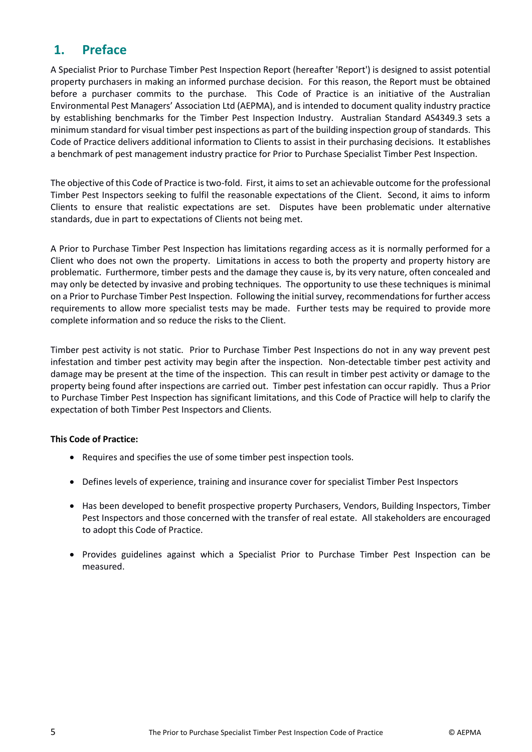# <span id="page-5-0"></span>**1. Preface**

A Specialist Prior to Purchase Timber Pest Inspection Report (hereafter 'Report') is designed to assist potential property purchasers in making an informed purchase decision. For this reason, the Report must be obtained before a purchaser commits to the purchase. This Code of Practice is an initiative of the Australian Environmental Pest Managers' Association Ltd (AEPMA), and is intended to document quality industry practice by establishing benchmarks for the Timber Pest Inspection Industry. Australian Standard AS4349.3 sets a minimum standard for visual timber pest inspections as part of the building inspection group of standards. This Code of Practice delivers additional information to Clients to assist in their purchasing decisions. It establishes a benchmark of pest management industry practice for Prior to Purchase Specialist Timber Pest Inspection.

The objective of this Code of Practice is two-fold. First, it aims to set an achievable outcome for the professional Timber Pest Inspectors seeking to fulfil the reasonable expectations of the Client. Second, it aims to inform Clients to ensure that realistic expectations are set. Disputes have been problematic under alternative standards, due in part to expectations of Clients not being met.

A Prior to Purchase Timber Pest Inspection has limitations regarding access as it is normally performed for a Client who does not own the property. Limitations in access to both the property and property history are problematic. Furthermore, timber pests and the damage they cause is, by its very nature, often concealed and may only be detected by invasive and probing techniques. The opportunity to use these techniques is minimal on a Prior to Purchase Timber Pest Inspection. Following the initial survey, recommendations for further access requirements to allow more specialist tests may be made. Further tests may be required to provide more complete information and so reduce the risks to the Client.

Timber pest activity is not static. Prior to Purchase Timber Pest Inspections do not in any way prevent pest infestation and timber pest activity may begin after the inspection. Non-detectable timber pest activity and damage may be present at the time of the inspection. This can result in timber pest activity or damage to the property being found after inspections are carried out. Timber pest infestation can occur rapidly. Thus a Prior to Purchase Timber Pest Inspection has significant limitations, and this Code of Practice will help to clarify the expectation of both Timber Pest Inspectors and Clients.

# **This Code of Practice:**

- Requires and specifies the use of some timber pest inspection tools.
- Defines levels of experience, training and insurance cover for specialist Timber Pest Inspectors
- Has been developed to benefit prospective property Purchasers, Vendors, Building Inspectors, Timber Pest Inspectors and those concerned with the transfer of real estate. All stakeholders are encouraged to adopt this Code of Practice.
- Provides guidelines against which a Specialist Prior to Purchase Timber Pest Inspection can be measured.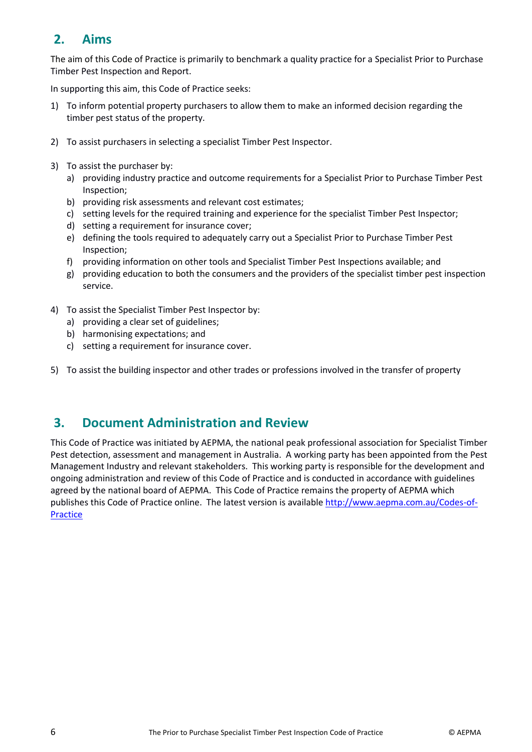# <span id="page-6-0"></span>**2. Aims**

The aim of this Code of Practice is primarily to benchmark a quality practice for a Specialist Prior to Purchase Timber Pest Inspection and Report.

In supporting this aim, this Code of Practice seeks:

- 1) To inform potential property purchasers to allow them to make an informed decision regarding the timber pest status of the property.
- 2) To assist purchasers in selecting a specialist Timber Pest Inspector.
- 3) To assist the purchaser by:
	- a) providing industry practice and outcome requirements for a Specialist Prior to Purchase Timber Pest Inspection;
	- b) providing risk assessments and relevant cost estimates;
	- c) setting levels for the required training and experience for the specialist Timber Pest Inspector;
	- d) setting a requirement for insurance cover;
	- e) defining the tools required to adequately carry out a Specialist Prior to Purchase Timber Pest Inspection;
	- f) providing information on other tools and Specialist Timber Pest Inspections available; and
	- g) providing education to both the consumers and the providers of the specialist timber pest inspection service.
- 4) To assist the Specialist Timber Pest Inspector by:
	- a) providing a clear set of guidelines;
	- b) harmonising expectations; and
	- c) setting a requirement for insurance cover.
- 5) To assist the building inspector and other trades or professions involved in the transfer of property

# <span id="page-6-1"></span>**3. Document Administration and Review**

This Code of Practice was initiated by AEPMA, the national peak professional association for Specialist Timber Pest detection, assessment and management in Australia. A working party has been appointed from the Pest Management Industry and relevant stakeholders. This working party is responsible for the development and ongoing administration and review of this Code of Practice and is conducted in accordance with guidelines agreed by the national board of AEPMA. This Code of Practice remains the property of AEPMA which publishes this Code of Practice online. The latest version is available [http://www.aepma.com.au/Codes-of-](http://www.aepma.com.au/Codes-of-Practice)[Practice](http://www.aepma.com.au/Codes-of-Practice)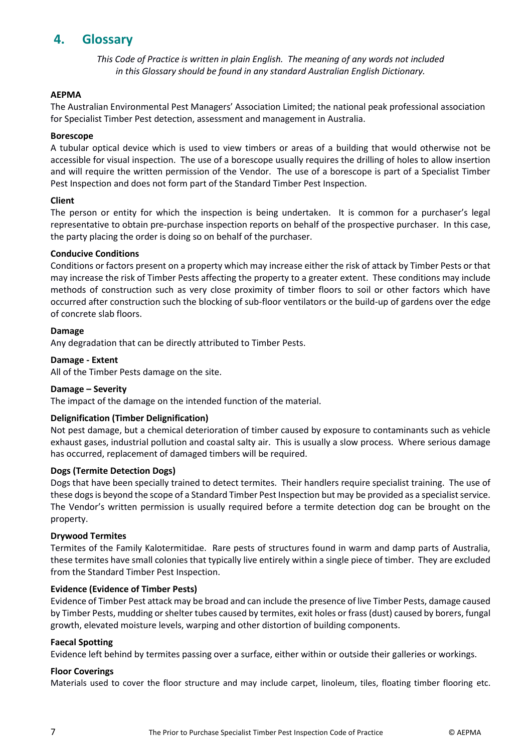# <span id="page-7-0"></span>**4. Glossary**

*This Code of Practice is written in plain English. The meaning of any words not included in this Glossary should be found in any standard Australian English Dictionary.*

#### **AEPMA**

The Australian Environmental Pest Managers' Association Limited; the national peak professional association for Specialist Timber Pest detection, assessment and management in Australia.

#### **Borescope**

A tubular optical device which is used to view timbers or areas of a building that would otherwise not be accessible for visual inspection. The use of a borescope usually requires the drilling of holes to allow insertion and will require the written permission of the Vendor. The use of a borescope is part of a Specialist Timber Pest Inspection and does not form part of the Standard Timber Pest Inspection.

#### **Client**

The person or entity for which the inspection is being undertaken. It is common for a purchaser's legal representative to obtain pre-purchase inspection reports on behalf of the prospective purchaser. In this case, the party placing the order is doing so on behalf of the purchaser.

#### **Conducive Conditions**

Conditions or factors present on a property which may increase either the risk of attack by Timber Pests or that may increase the risk of Timber Pests affecting the property to a greater extent. These conditions may include methods of construction such as very close proximity of timber floors to soil or other factors which have occurred after construction such the blocking of sub-floor ventilators or the build-up of gardens over the edge of concrete slab floors.

#### **Damage**

Any degradation that can be directly attributed to Timber Pests.

#### **Damage - Extent**

All of the Timber Pests damage on the site.

#### **Damage – Severity**

The impact of the damage on the intended function of the material.

#### **Delignification (Timber Delignification)**

Not pest damage, but a chemical deterioration of timber caused by exposure to contaminants such as vehicle exhaust gases, industrial pollution and coastal salty air. This is usually a slow process. Where serious damage has occurred, replacement of damaged timbers will be required.

#### **Dogs (Termite Detection Dogs)**

Dogs that have been specially trained to detect termites. Their handlers require specialist training. The use of these dogs is beyond the scope of a Standard Timber Pest Inspection but may be provided as a specialist service. The Vendor's written permission is usually required before a termite detection dog can be brought on the property.

#### **Drywood Termites**

Termites of the Family Kalotermitidae. Rare pests of structures found in warm and damp parts of Australia, these termites have small colonies that typically live entirely within a single piece of timber. They are excluded from the Standard Timber Pest Inspection.

#### **Evidence (Evidence of Timber Pests)**

Evidence of Timber Pest attack may be broad and can include the presence of live Timber Pests, damage caused by Timber Pests, mudding or shelter tubes caused by termites, exit holes or frass (dust) caused by borers, fungal growth, elevated moisture levels, warping and other distortion of building components.

#### **Faecal Spotting**

Evidence left behind by termites passing over a surface, either within or outside their galleries or workings.

#### **Floor Coverings**

Materials used to cover the floor structure and may include carpet, linoleum, tiles, floating timber flooring etc.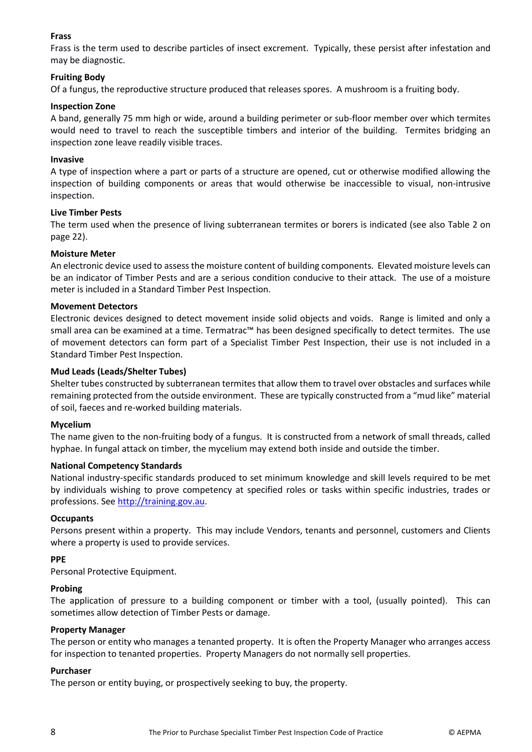#### **Frass**

Frass is the term used to describe particles of insect excrement. Typically, these persist after infestation and may be diagnostic.

#### **Fruiting Body**

Of a fungus, the reproductive structure produced that releases spores. A mushroom is a fruiting body.

#### **Inspection Zone**

A band, generally 75 mm high or wide, around a building perimeter or sub-floor member over which termites would need to travel to reach the susceptible timbers and interior of the building. Termites bridging an inspection zone leave readily visible traces.

#### **Invasive**

A type of inspection where a part or parts of a structure are opened, cut or otherwise modified allowing the inspection of building components or areas that would otherwise be inaccessible to visual, non-intrusive inspection.

#### **Live Timber Pests**

The term used when the presence of living subterranean termites or borers is indicated (see also Table 2 on page [22\)](#page-22-0).

#### **Moisture Meter**

An electronic device used to assess the moisture content of building components. Elevated moisture levels can be an indicator of Timber Pests and are a serious condition conducive to their attack. The use of a moisture meter is included in a Standard Timber Pest Inspection.

#### **Movement Detectors**

Electronic devices designed to detect movement inside solid objects and voids. Range is limited and only a small area can be examined at a time. Termatrac™ has been designed specifically to detect termites. The use of movement detectors can form part of a Specialist Timber Pest Inspection, their use is not included in a Standard Timber Pest Inspection.

#### **Mud Leads (Leads/Shelter Tubes)**

Shelter tubes constructed by subterranean termites that allow them to travel over obstacles and surfaces while remaining protected from the outside environment. These are typically constructed from a "mud like" material of soil, faeces and re-worked building materials.

#### **Mycelium**

The name given to the non-fruiting body of a fungus. It is constructed from a network of small threads, called hyphae. In fungal attack on timber, the mycelium may extend both inside and outside the timber.

#### **National Competency Standards**

National industry-specific standards produced to set minimum knowledge and skill levels required to be met by individuals wishing to prove competency at specified roles or tasks within specific industries, trades or professions. Se[e http://training.gov.au.](http://training.gov.au/)

#### **Occupants**

Persons present within a property. This may include Vendors, tenants and personnel, customers and Clients where a property is used to provide services.

#### **PPE**

Personal Protective Equipment.

#### **Probing**

The application of pressure to a building component or timber with a tool, (usually pointed). This can sometimes allow detection of Timber Pests or damage.

#### **Property Manager**

The person or entity who manages a tenanted property. It is often the Property Manager who arranges access for inspection to tenanted properties. Property Managers do not normally sell properties.

#### **Purchaser**

The person or entity buying, or prospectively seeking to buy, the property.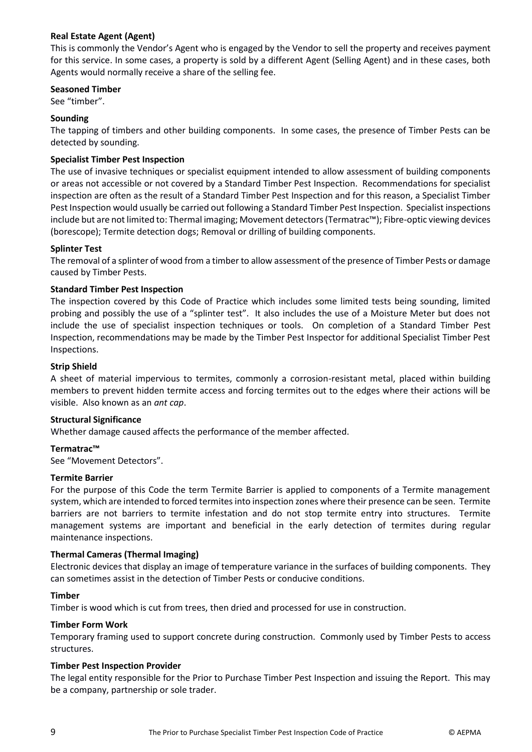#### **Real Estate Agent (Agent)**

This is commonly the Vendor's Agent who is engaged by the Vendor to sell the property and receives payment for this service. In some cases, a property is sold by a different Agent (Selling Agent) and in these cases, both Agents would normally receive a share of the selling fee.

#### **Seasoned Timber**

See "timber".

#### **Sounding**

The tapping of timbers and other building components. In some cases, the presence of Timber Pests can be detected by sounding.

#### **Specialist Timber Pest Inspection**

The use of invasive techniques or specialist equipment intended to allow assessment of building components or areas not accessible or not covered by a Standard Timber Pest Inspection. Recommendations for specialist inspection are often as the result of a Standard Timber Pest Inspection and for this reason, a Specialist Timber Pest Inspection would usually be carried out following a Standard Timber Pest Inspection. Specialist inspections include but are not limited to: Thermal imaging; Movement detectors (Termatrac™); Fibre-optic viewing devices (borescope); Termite detection dogs; Removal or drilling of building components.

#### **Splinter Test**

The removal of a splinter of wood from a timber to allow assessment of the presence of Timber Pests or damage caused by Timber Pests.

#### **Standard Timber Pest Inspection**

The inspection covered by this Code of Practice which includes some limited tests being sounding, limited probing and possibly the use of a "splinter test". It also includes the use of a Moisture Meter but does not include the use of specialist inspection techniques or tools. On completion of a Standard Timber Pest Inspection, recommendations may be made by the Timber Pest Inspector for additional Specialist Timber Pest Inspections.

#### **Strip Shield**

A sheet of material impervious to termites, commonly a corrosion-resistant metal, placed within building members to prevent hidden termite access and forcing termites out to the edges where their actions will be visible. Also known as an *ant cap*.

#### **Structural Significance**

Whether damage caused affects the performance of the member affected.

#### **Termatrac™**

See "Movement Detectors".

#### **Termite Barrier**

For the purpose of this Code the term Termite Barrier is applied to components of a Termite management system, which are intended to forced termites into inspection zones where their presence can be seen. Termite barriers are not barriers to termite infestation and do not stop termite entry into structures. Termite management systems are important and beneficial in the early detection of termites during regular maintenance inspections.

#### **Thermal Cameras (Thermal Imaging)**

Electronic devices that display an image of temperature variance in the surfaces of building components. They can sometimes assist in the detection of Timber Pests or conducive conditions.

#### **Timber**

Timber is wood which is cut from trees, then dried and processed for use in construction.

#### **Timber Form Work**

Temporary framing used to support concrete during construction. Commonly used by Timber Pests to access structures.

#### **Timber Pest Inspection Provider**

The legal entity responsible for the Prior to Purchase Timber Pest Inspection and issuing the Report. This may be a company, partnership or sole trader.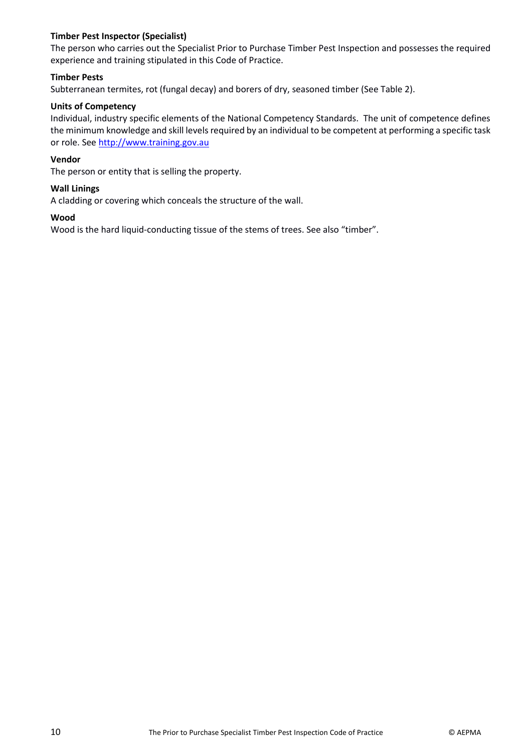#### **Timber Pest Inspector (Specialist)**

The person who carries out the Specialist Prior to Purchase Timber Pest Inspection and possesses the required experience and training stipulated in this Code of Practice.

#### **Timber Pests**

Subterranean termites, rot (fungal decay) and borers of dry, seasoned timber (See Table 2).

#### **Units of Competency**

Individual, industry specific elements of the National Competency Standards. The unit of competence defines the minimum knowledge and skill levels required by an individual to be competent at performing a specific task or role. See [http://www.training.gov.au](http://www.training.gov.au/)

#### **Vendor**

The person or entity that is selling the property.

#### **Wall Linings**

A cladding or covering which conceals the structure of the wall.

#### **Wood**

Wood is the hard liquid-conducting tissue of the stems of trees. See also "timber".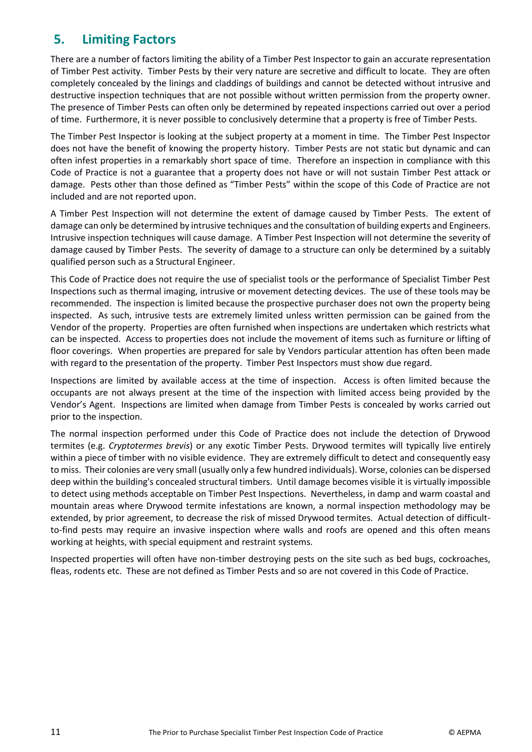# <span id="page-11-0"></span>**5. Limiting Factors**

There are a number of factors limiting the ability of a Timber Pest Inspector to gain an accurate representation of Timber Pest activity. Timber Pests by their very nature are secretive and difficult to locate. They are often completely concealed by the linings and claddings of buildings and cannot be detected without intrusive and destructive inspection techniques that are not possible without written permission from the property owner. The presence of Timber Pests can often only be determined by repeated inspections carried out over a period of time. Furthermore, it is never possible to conclusively determine that a property is free of Timber Pests.

The Timber Pest Inspector is looking at the subject property at a moment in time. The Timber Pest Inspector does not have the benefit of knowing the property history. Timber Pests are not static but dynamic and can often infest properties in a remarkably short space of time. Therefore an inspection in compliance with this Code of Practice is not a guarantee that a property does not have or will not sustain Timber Pest attack or damage. Pests other than those defined as "Timber Pests" within the scope of this Code of Practice are not included and are not reported upon.

A Timber Pest Inspection will not determine the extent of damage caused by Timber Pests. The extent of damage can only be determined by intrusive techniques and the consultation of building experts and Engineers. Intrusive inspection techniques will cause damage. A Timber Pest Inspection will not determine the severity of damage caused by Timber Pests. The severity of damage to a structure can only be determined by a suitably qualified person such as a Structural Engineer.

This Code of Practice does not require the use of specialist tools or the performance of Specialist Timber Pest Inspections such as thermal imaging, intrusive or movement detecting devices. The use of these tools may be recommended. The inspection is limited because the prospective purchaser does not own the property being inspected. As such, intrusive tests are extremely limited unless written permission can be gained from the Vendor of the property. Properties are often furnished when inspections are undertaken which restricts what can be inspected. Access to properties does not include the movement of items such as furniture or lifting of floor coverings. When properties are prepared for sale by Vendors particular attention has often been made with regard to the presentation of the property. Timber Pest Inspectors must show due regard.

Inspections are limited by available access at the time of inspection. Access is often limited because the occupants are not always present at the time of the inspection with limited access being provided by the Vendor's Agent. Inspections are limited when damage from Timber Pests is concealed by works carried out prior to the inspection.

The normal inspection performed under this Code of Practice does not include the detection of Drywood termites (e.g. *Cryptotermes brevis*) or any exotic Timber Pests. Drywood termites will typically live entirely within a piece of timber with no visible evidence. They are extremely difficult to detect and consequently easy to miss. Their colonies are very small (usually only a few hundred individuals). Worse, colonies can be dispersed deep within the building's concealed structural timbers. Until damage becomes visible it is virtually impossible to detect using methods acceptable on Timber Pest Inspections. Nevertheless, in damp and warm coastal and mountain areas where Drywood termite infestations are known, a normal inspection methodology may be extended, by prior agreement, to decrease the risk of missed Drywood termites. Actual detection of difficultto-find pests may require an invasive inspection where walls and roofs are opened and this often means working at heights, with special equipment and restraint systems.

Inspected properties will often have non-timber destroying pests on the site such as bed bugs, cockroaches, fleas, rodents etc. These are not defined as Timber Pests and so are not covered in this Code of Practice.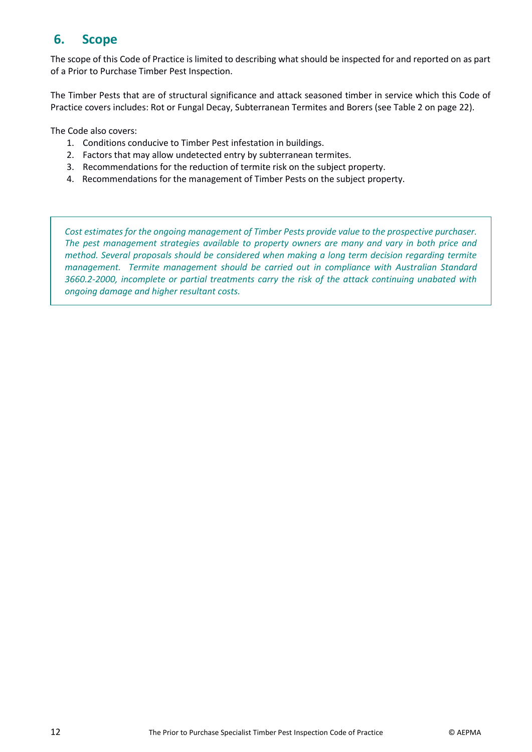# <span id="page-12-0"></span>**6. Scope**

The scope of this Code of Practice is limited to describing what should be inspected for and reported on as part of a Prior to Purchase Timber Pest Inspection.

The Timber Pests that are of structural significance and attack seasoned timber in service which this Code of Practice covers includes: Rot or Fungal Decay, Subterranean Termites and Borers (see Table 2 on page 22).

The Code also covers:

- 1. Conditions conducive to Timber Pest infestation in buildings.
- 2. Factors that may allow undetected entry by subterranean termites.
- 3. Recommendations for the reduction of termite risk on the subject property.
- 4. Recommendations for the management of Timber Pests on the subject property.

*Cost estimates for the ongoing management of Timber Pests provide value to the prospective purchaser. The pest management strategies available to property owners are many and vary in both price and method. Several proposals should be considered when making a long term decision regarding termite management. Termite management should be carried out in compliance with Australian Standard 3660.2-2000, incomplete or partial treatments carry the risk of the attack continuing unabated with ongoing damage and higher resultant costs.*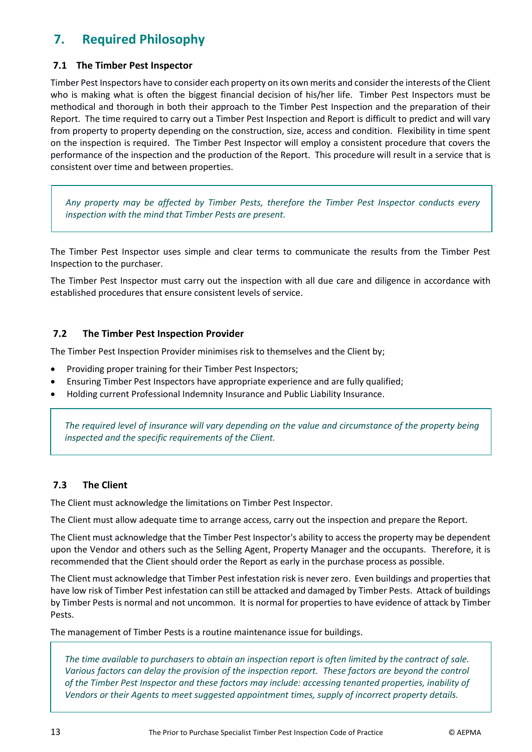# <span id="page-13-0"></span>**7. Required Philosophy**

# <span id="page-13-1"></span>**7.1 The Timber Pest Inspector**

Timber Pest Inspectors have to consider each property on its own merits and consider the interests of the Client who is making what is often the biggest financial decision of his/her life. Timber Pest Inspectors must be methodical and thorough in both their approach to the Timber Pest Inspection and the preparation of their Report. The time required to carry out a Timber Pest Inspection and Report is difficult to predict and will vary from property to property depending on the construction, size, access and condition. Flexibility in time spent on the inspection is required. The Timber Pest Inspector will employ a consistent procedure that covers the performance of the inspection and the production of the Report. This procedure will result in a service that is consistent over time and between properties.

*Any property may be affected by Timber Pests, therefore the Timber Pest Inspector conducts every inspection with the mind that Timber Pests are present.* 

The Timber Pest Inspector uses simple and clear terms to communicate the results from the Timber Pest Inspection to the purchaser.

The Timber Pest Inspector must carry out the inspection with all due care and diligence in accordance with established procedures that ensure consistent levels of service.

# <span id="page-13-2"></span>**7.2 The Timber Pest Inspection Provider**

The Timber Pest Inspection Provider minimises risk to themselves and the Client by;

- Providing proper training for their Timber Pest Inspectors;
- Ensuring Timber Pest Inspectors have appropriate experience and are fully qualified;
- Holding current Professional Indemnity Insurance and Public Liability Insurance.

*The required level of insurance will vary depending on the value and circumstance of the property being inspected and the specific requirements of the Client.*

# <span id="page-13-3"></span>**7.3 The Client**

The Client must acknowledge the limitations on Timber Pest Inspector.

The Client must allow adequate time to arrange access, carry out the inspection and prepare the Report.

The Client must acknowledge that the Timber Pest Inspector's ability to access the property may be dependent upon the Vendor and others such as the Selling Agent, Property Manager and the occupants. Therefore, it is recommended that the Client should order the Report as early in the purchase process as possible.

The Client must acknowledge that Timber Pest infestation risk is never zero. Even buildings and properties that have low risk of Timber Pest infestation can still be attacked and damaged by Timber Pests. Attack of buildings by Timber Pests is normal and not uncommon. It is normal for properties to have evidence of attack by Timber Pests.

The management of Timber Pests is a routine maintenance issue for buildings.

*The time available to purchasers to obtain an inspection report is often limited by the contract of sale. Various factors can delay the provision of the inspection report. These factors are beyond the control of the Timber Pest Inspector and these factors may include: accessing tenanted properties, inability of Vendors or their Agents to meet suggested appointment times, supply of incorrect property details.*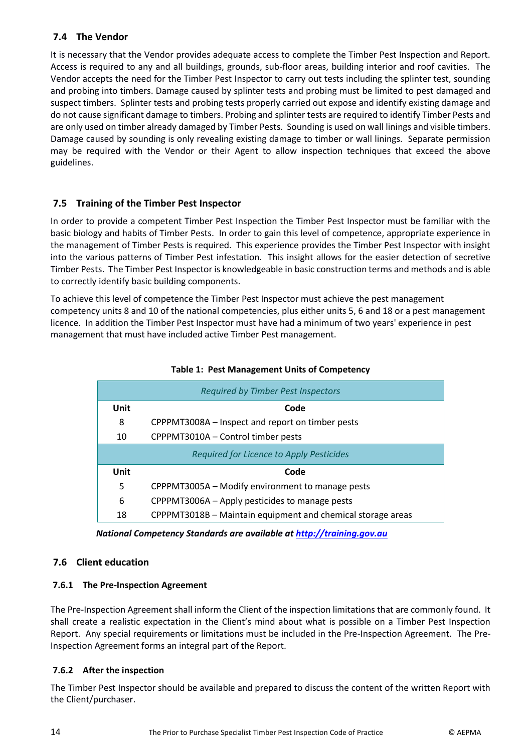# <span id="page-14-0"></span>**7.4 The Vendor**

It is necessary that the Vendor provides adequate access to complete the Timber Pest Inspection and Report. Access is required to any and all buildings, grounds, sub-floor areas, building interior and roof cavities. The Vendor accepts the need for the Timber Pest Inspector to carry out tests including the splinter test, sounding and probing into timbers. Damage caused by splinter tests and probing must be limited to pest damaged and suspect timbers. Splinter tests and probing tests properly carried out expose and identify existing damage and do not cause significant damage to timbers. Probing and splinter tests are required to identify Timber Pests and are only used on timber already damaged by Timber Pests. Sounding is used on wall linings and visible timbers. Damage caused by sounding is only revealing existing damage to timber or wall linings. Separate permission may be required with the Vendor or their Agent to allow inspection techniques that exceed the above guidelines.

# <span id="page-14-1"></span>**7.5 Training of the Timber Pest Inspector**

In order to provide a competent Timber Pest Inspection the Timber Pest Inspector must be familiar with the basic biology and habits of Timber Pests. In order to gain this level of competence, appropriate experience in the management of Timber Pests is required. This experience provides the Timber Pest Inspector with insight into the various patterns of Timber Pest infestation. This insight allows for the easier detection of secretive Timber Pests. The Timber Pest Inspector is knowledgeable in basic construction terms and methods and is able to correctly identify basic building components.

To achieve this level of competence the Timber Pest Inspector must achieve the pest management competency units 8 and 10 of the national competencies, plus either units 5, 6 and 18 or a pest management licence. In addition the Timber Pest Inspector must have had a minimum of two years' experience in pest management that must have included active Timber Pest management.

| <b>Required by Timber Pest Inspectors</b>             |                                                             |  |  |  |  |  |  |  |
|-------------------------------------------------------|-------------------------------------------------------------|--|--|--|--|--|--|--|
| Unit                                                  | Code                                                        |  |  |  |  |  |  |  |
| 8<br>CPPPMT3008A – Inspect and report on timber pests |                                                             |  |  |  |  |  |  |  |
| CPPPMT3010A - Control timber pests<br>10              |                                                             |  |  |  |  |  |  |  |
| Required for Licence to Apply Pesticides              |                                                             |  |  |  |  |  |  |  |
| Unit                                                  | Code                                                        |  |  |  |  |  |  |  |
| 5                                                     | CPPPMT3005A - Modify environment to manage pests            |  |  |  |  |  |  |  |
| 6                                                     | CPPPMT3006A – Apply pesticides to manage pests              |  |  |  |  |  |  |  |
| 18                                                    | CPPPMT3018B - Maintain equipment and chemical storage areas |  |  |  |  |  |  |  |

#### **Table 1: Pest Management Units of Competency**

 *National Competency Standards are available at [http://training.gov.au](http://training.gov.au/)*

# <span id="page-14-2"></span>**7.6 Client education**

# <span id="page-14-3"></span>**7.6.1 The Pre-Inspection Agreement**

The Pre-Inspection Agreement shall inform the Client of the inspection limitations that are commonly found. It shall create a realistic expectation in the Client's mind about what is possible on a Timber Pest Inspection Report. Any special requirements or limitations must be included in the Pre-Inspection Agreement. The Pre-Inspection Agreement forms an integral part of the Report.

# <span id="page-14-4"></span>**7.6.2 After the inspection**

The Timber Pest Inspector should be available and prepared to discuss the content of the written Report with the Client/purchaser.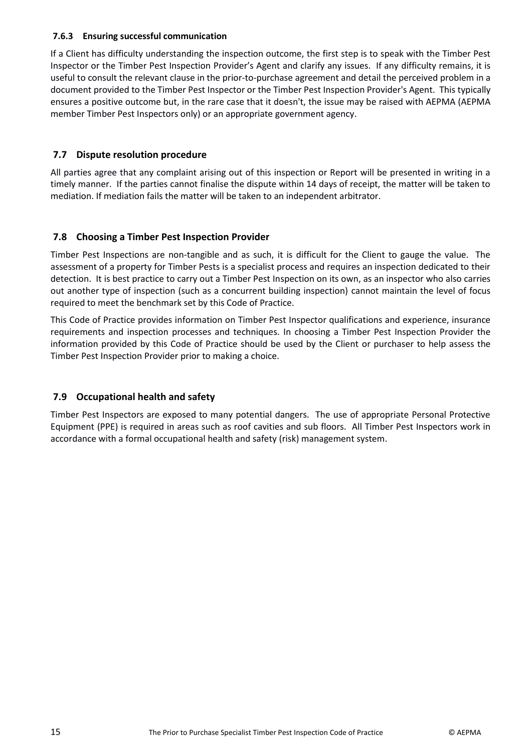### <span id="page-15-0"></span>**7.6.3 Ensuring successful communication**

If a Client has difficulty understanding the inspection outcome, the first step is to speak with the Timber Pest Inspector or the Timber Pest Inspection Provider's Agent and clarify any issues. If any difficulty remains, it is useful to consult the relevant clause in the prior-to-purchase agreement and detail the perceived problem in a document provided to the Timber Pest Inspector or the Timber Pest Inspection Provider's Agent. This typically ensures a positive outcome but, in the rare case that it doesn't, the issue may be raised with AEPMA (AEPMA member Timber Pest Inspectors only) or an appropriate government agency.

# <span id="page-15-1"></span>**7.7 Dispute resolution procedure**

All parties agree that any complaint arising out of this inspection or Report will be presented in writing in a timely manner. If the parties cannot finalise the dispute within 14 days of receipt, the matter will be taken to mediation. If mediation fails the matter will be taken to an independent arbitrator.

# <span id="page-15-2"></span>**7.8 Choosing a Timber Pest Inspection Provider**

Timber Pest Inspections are non-tangible and as such, it is difficult for the Client to gauge the value. The assessment of a property for Timber Pests is a specialist process and requires an inspection dedicated to their detection. It is best practice to carry out a Timber Pest Inspection on its own, as an inspector who also carries out another type of inspection (such as a concurrent building inspection) cannot maintain the level of focus required to meet the benchmark set by this Code of Practice.

This Code of Practice provides information on Timber Pest Inspector qualifications and experience, insurance requirements and inspection processes and techniques. In choosing a Timber Pest Inspection Provider the information provided by this Code of Practice should be used by the Client or purchaser to help assess the Timber Pest Inspection Provider prior to making a choice.

# <span id="page-15-3"></span>**7.9 Occupational health and safety**

Timber Pest Inspectors are exposed to many potential dangers. The use of appropriate Personal Protective Equipment (PPE) is required in areas such as roof cavities and sub floors. All Timber Pest Inspectors work in accordance with a formal occupational health and safety (risk) management system.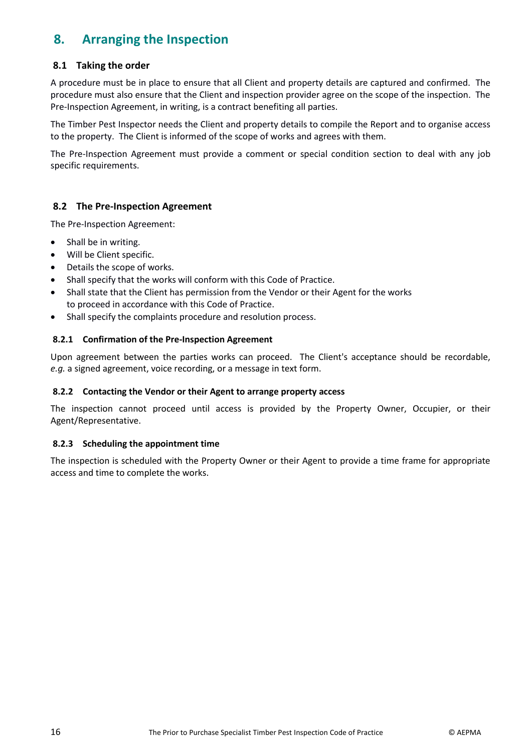# <span id="page-16-0"></span>**8. Arranging the Inspection**

# <span id="page-16-1"></span>**8.1 Taking the order**

A procedure must be in place to ensure that all Client and property details are captured and confirmed. The procedure must also ensure that the Client and inspection provider agree on the scope of the inspection. The Pre-Inspection Agreement, in writing, is a contract benefiting all parties.

The Timber Pest Inspector needs the Client and property details to compile the Report and to organise access to the property. The Client is informed of the scope of works and agrees with them.

The Pre-Inspection Agreement must provide a comment or special condition section to deal with any job specific requirements.

# <span id="page-16-2"></span>**8.2 The Pre-Inspection Agreement**

The Pre-Inspection Agreement:

- Shall be in writing.
- Will be Client specific.
- Details the scope of works.
- Shall specify that the works will conform with this Code of Practice.
- Shall state that the Client has permission from the Vendor or their Agent for the works to proceed in accordance with this Code of Practice.
- Shall specify the complaints procedure and resolution process.

#### <span id="page-16-3"></span>**8.2.1 Confirmation of the Pre-Inspection Agreement**

Upon agreement between the parties works can proceed. The Client's acceptance should be recordable, *e.g.* a signed agreement, voice recording, or a message in text form.

#### <span id="page-16-4"></span>**8.2.2 Contacting the Vendor or their Agent to arrange property access**

The inspection cannot proceed until access is provided by the Property Owner, Occupier, or their Agent/Representative.

#### <span id="page-16-5"></span>**8.2.3 Scheduling the appointment time**

The inspection is scheduled with the Property Owner or their Agent to provide a time frame for appropriate access and time to complete the works.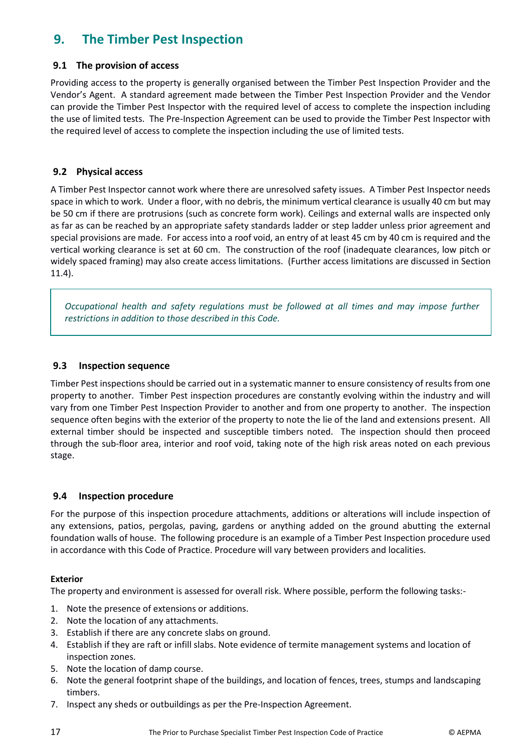# <span id="page-17-0"></span>**9. The Timber Pest Inspection**

# <span id="page-17-1"></span>**9.1 The provision of access**

Providing access to the property is generally organised between the Timber Pest Inspection Provider and the Vendor's Agent. A standard agreement made between the Timber Pest Inspection Provider and the Vendor can provide the Timber Pest Inspector with the required level of access to complete the inspection including the use of limited tests. The Pre-Inspection Agreement can be used to provide the Timber Pest Inspector with the required level of access to complete the inspection including the use of limited tests.

# <span id="page-17-2"></span>**9.2 Physical access**

A Timber Pest Inspector cannot work where there are unresolved safety issues. A Timber Pest Inspector needs space in which to work. Under a floor, with no debris, the minimum vertical clearance is usually 40 cm but may be 50 cm if there are protrusions (such as concrete form work). Ceilings and external walls are inspected only as far as can be reached by an appropriate safety standards ladder or step ladder unless prior agreement and special provisions are made. For access into a roof void, an entry of at least 45 cm by 40 cm is required and the vertical working clearance is set at 60 cm. The construction of the roof (inadequate clearances, low pitch or widely spaced framing) may also create access limitations. (Further access limitations are discussed in Section 11.4).

*Occupational health and safety regulations must be followed at all times and may impose further restrictions in addition to those described in this Code.* 

# <span id="page-17-3"></span>**9.3 Inspection sequence**

Timber Pest inspections should be carried out in a systematic manner to ensure consistency of results from one property to another. Timber Pest inspection procedures are constantly evolving within the industry and will vary from one Timber Pest Inspection Provider to another and from one property to another. The inspection sequence often begins with the exterior of the property to note the lie of the land and extensions present. All external timber should be inspected and susceptible timbers noted. The inspection should then proceed through the sub-floor area, interior and roof void, taking note of the high risk areas noted on each previous stage.

# <span id="page-17-4"></span>**9.4 Inspection procedure**

For the purpose of this inspection procedure attachments, additions or alterations will include inspection of any extensions, patios, pergolas, paving, gardens or anything added on the ground abutting the external foundation walls of house. The following procedure is an example of a Timber Pest Inspection procedure used in accordance with this Code of Practice. Procedure will vary between providers and localities.

# **Exterior**

The property and environment is assessed for overall risk. Where possible, perform the following tasks:-

- 1. Note the presence of extensions or additions.
- 2. Note the location of any attachments.
- 3. Establish if there are any concrete slabs on ground.
- 4. Establish if they are raft or infill slabs. Note evidence of termite management systems and location of inspection zones.
- 5. Note the location of damp course.
- 6. Note the general footprint shape of the buildings, and location of fences, trees, stumps and landscaping timbers.
- 7. Inspect any sheds or outbuildings as per the Pre-Inspection Agreement.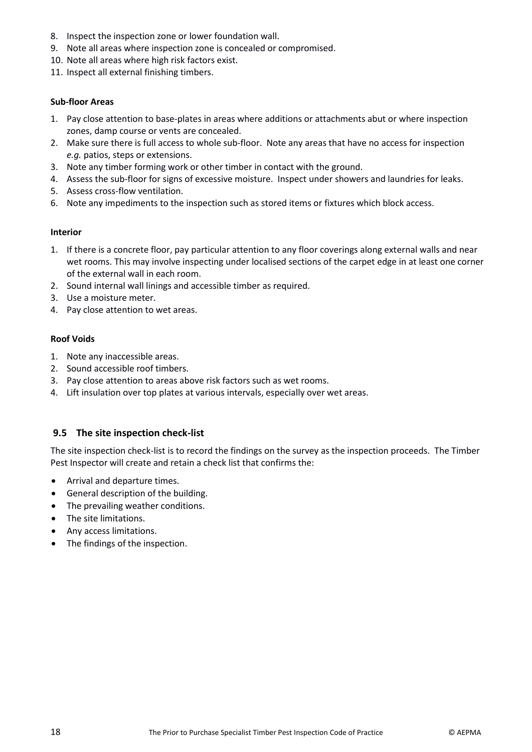- 8. Inspect the inspection zone or lower foundation wall.
- 9. Note all areas where inspection zone is concealed or compromised.
- 10. Note all areas where high risk factors exist.
- 11. Inspect all external finishing timbers.

#### **Sub-floor Areas**

- 1. Pay close attention to base-plates in areas where additions or attachments abut or where inspection zones, damp course or vents are concealed.
- 2. Make sure there is full access to whole sub-floor. Note any areas that have no access for inspection *e.g.* patios, steps or extensions.
- 3. Note any timber forming work or other timber in contact with the ground.
- 4. Assess the sub-floor for signs of excessive moisture. Inspect under showers and laundries for leaks.
- 5. Assess cross-flow ventilation.
- 6. Note any impediments to the inspection such as stored items or fixtures which block access.

#### **Interior**

- 1. If there is a concrete floor, pay particular attention to any floor coverings along external walls and near wet rooms. This may involve inspecting under localised sections of the carpet edge in at least one corner of the external wall in each room.
- 2. Sound internal wall linings and accessible timber as required.
- 3. Use a moisture meter.
- 4. Pay close attention to wet areas.

# **Roof Voids**

- 1. Note any inaccessible areas.
- 2. Sound accessible roof timbers.
- 3. Pay close attention to areas above risk factors such as wet rooms.
- 4. Lift insulation over top plates at various intervals, especially over wet areas.

# <span id="page-18-0"></span>**9.5 The site inspection check-list**

The site inspection check-list is to record the findings on the survey as the inspection proceeds. The Timber Pest Inspector will create and retain a check list that confirms the:

- Arrival and departure times.
- General description of the building.
- The prevailing weather conditions.
- The site limitations.
- Any access limitations.
- The findings of the inspection.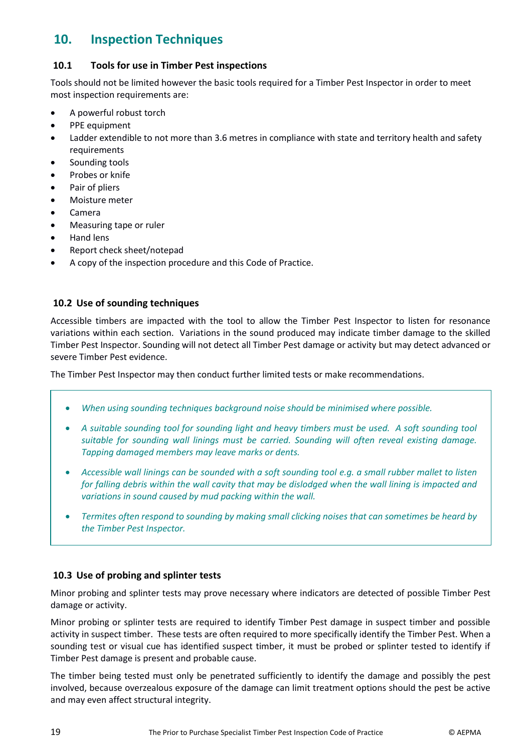# <span id="page-19-0"></span>**10. Inspection Techniques**

# <span id="page-19-1"></span>**10.1 Tools for use in Timber Pest inspections**

Tools should not be limited however the basic tools required for a Timber Pest Inspector in order to meet most inspection requirements are:

- A powerful robust torch
- PPE equipment
- Ladder extendible to not more than 3.6 metres in compliance with state and territory health and safety requirements
- Sounding tools
- Probes or knife
- Pair of pliers
- Moisture meter
- Camera
- Measuring tape or ruler
- Hand lens
- Report check sheet/notepad
- A copy of the inspection procedure and this Code of Practice.

# <span id="page-19-2"></span>**10.2 Use of sounding techniques**

Accessible timbers are impacted with the tool to allow the Timber Pest Inspector to listen for resonance variations within each section. Variations in the sound produced may indicate timber damage to the skilled Timber Pest Inspector. Sounding will not detect all Timber Pest damage or activity but may detect advanced or severe Timber Pest evidence.

The Timber Pest Inspector may then conduct further limited tests or make recommendations.

- *When using sounding techniques background noise should be minimised where possible.*
- *A suitable sounding tool for sounding light and heavy timbers must be used. A soft sounding tool suitable for sounding wall linings must be carried. Sounding will often reveal existing damage. Tapping damaged members may leave marks or dents.*
- *Accessible wall linings can be sounded with a soft sounding tool e.g. a small rubber mallet to listen for falling debris within the wall cavity that may be dislodged when the wall lining is impacted and variations in sound caused by mud packing within the wall.*
- *Termites often respond to sounding by making small clicking noises that can sometimes be heard by the Timber Pest Inspector.*

# <span id="page-19-3"></span>**10.3 Use of probing and splinter tests**

Minor probing and splinter tests may prove necessary where indicators are detected of possible Timber Pest damage or activity.

Minor probing or splinter tests are required to identify Timber Pest damage in suspect timber and possible activity in suspect timber. These tests are often required to more specifically identify the Timber Pest. When a sounding test or visual cue has identified suspect timber, it must be probed or splinter tested to identify if Timber Pest damage is present and probable cause.

The timber being tested must only be penetrated sufficiently to identify the damage and possibly the pest involved, because overzealous exposure of the damage can limit treatment options should the pest be active and may even affect structural integrity.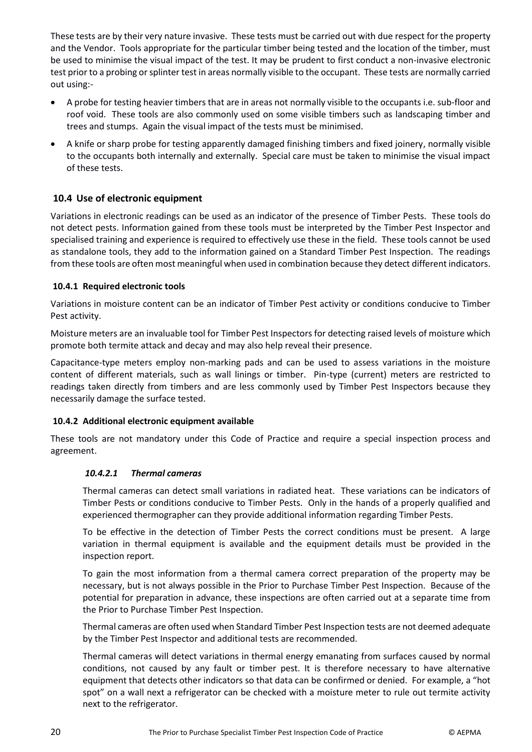These tests are by their very nature invasive. These tests must be carried out with due respect for the property and the Vendor. Tools appropriate for the particular timber being tested and the location of the timber, must be used to minimise the visual impact of the test. It may be prudent to first conduct a non-invasive electronic test prior to a probing or splinter test in areas normally visible to the occupant. These tests are normally carried out using:-

- A probe for testing heavier timbers that are in areas not normally visible to the occupants i.e. sub-floor and roof void. These tools are also commonly used on some visible timbers such as landscaping timber and trees and stumps. Again the visual impact of the tests must be minimised.
- A knife or sharp probe for testing apparently damaged finishing timbers and fixed joinery, normally visible to the occupants both internally and externally. Special care must be taken to minimise the visual impact of these tests.

# <span id="page-20-0"></span>**10.4 Use of electronic equipment**

Variations in electronic readings can be used as an indicator of the presence of Timber Pests. These tools do not detect pests. Information gained from these tools must be interpreted by the Timber Pest Inspector and specialised training and experience is required to effectively use these in the field. These tools cannot be used as standalone tools, they add to the information gained on a Standard Timber Pest Inspection. The readings from these tools are often most meaningful when used in combination because they detect different indicators.

#### <span id="page-20-1"></span>**10.4.1 Required electronic tools**

Variations in moisture content can be an indicator of Timber Pest activity or conditions conducive to Timber Pest activity.

Moisture meters are an invaluable tool for Timber Pest Inspectors for detecting raised levels of moisture which promote both termite attack and decay and may also help reveal their presence.

Capacitance-type meters employ non-marking pads and can be used to assess variations in the moisture content of different materials, such as wall linings or timber. Pin-type (current) meters are restricted to readings taken directly from timbers and are less commonly used by Timber Pest Inspectors because they necessarily damage the surface tested.

#### <span id="page-20-2"></span>**10.4.2 Additional electronic equipment available**

These tools are not mandatory under this Code of Practice and require a special inspection process and agreement.

#### *10.4.2.1 Thermal cameras*

Thermal cameras can detect small variations in radiated heat. These variations can be indicators of Timber Pests or conditions conducive to Timber Pests. Only in the hands of a properly qualified and experienced thermographer can they provide additional information regarding Timber Pests.

To be effective in the detection of Timber Pests the correct conditions must be present. A large variation in thermal equipment is available and the equipment details must be provided in the inspection report.

To gain the most information from a thermal camera correct preparation of the property may be necessary, but is not always possible in the Prior to Purchase Timber Pest Inspection. Because of the potential for preparation in advance, these inspections are often carried out at a separate time from the Prior to Purchase Timber Pest Inspection.

Thermal cameras are often used when Standard Timber Pest Inspection tests are not deemed adequate by the Timber Pest Inspector and additional tests are recommended.

Thermal cameras will detect variations in thermal energy emanating from surfaces caused by normal conditions, not caused by any fault or timber pest. It is therefore necessary to have alternative equipment that detects other indicators so that data can be confirmed or denied. For example, a "hot spot" on a wall next a refrigerator can be checked with a moisture meter to rule out termite activity next to the refrigerator.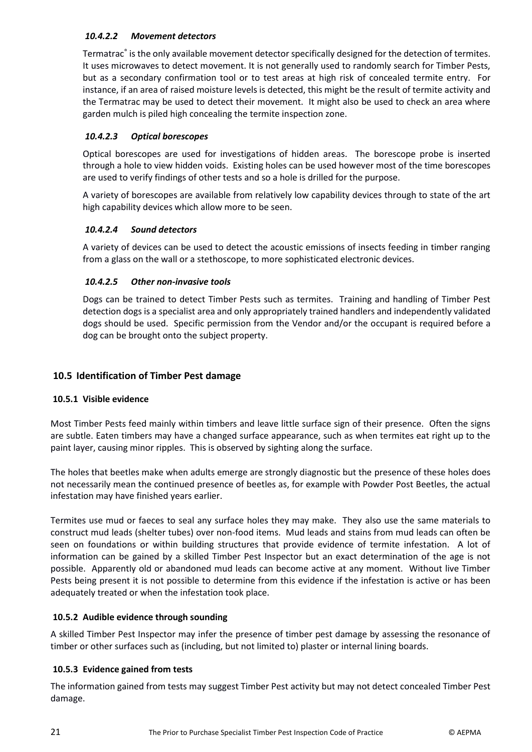# *10.4.2.2 Movement detectors*

Termatrac® is the only available movement detector specifically designed for the detection of termites. It uses microwaves to detect movement. It is not generally used to randomly search for Timber Pests, but as a secondary confirmation tool or to test areas at high risk of concealed termite entry. For instance, if an area of raised moisture levels is detected, this might be the result of termite activity and the Termatrac may be used to detect their movement. It might also be used to check an area where garden mulch is piled high concealing the termite inspection zone.

# *10.4.2.3 Optical borescopes*

Optical borescopes are used for investigations of hidden areas. The borescope probe is inserted through a hole to view hidden voids. Existing holes can be used however most of the time borescopes are used to verify findings of other tests and so a hole is drilled for the purpose.

A variety of borescopes are available from relatively low capability devices through to state of the art high capability devices which allow more to be seen.

# *10.4.2.4 Sound detectors*

A variety of devices can be used to detect the acoustic emissions of insects feeding in timber ranging from a glass on the wall or a stethoscope, to more sophisticated electronic devices.

# *10.4.2.5 Other non-invasive tools*

Dogs can be trained to detect Timber Pests such as termites. Training and handling of Timber Pest detection dogs is a specialist area and only appropriately trained handlers and independently validated dogs should be used. Specific permission from the Vendor and/or the occupant is required before a dog can be brought onto the subject property.

# <span id="page-21-0"></span>**10.5 Identification of Timber Pest damage**

# <span id="page-21-1"></span>**10.5.1 Visible evidence**

Most Timber Pests feed mainly within timbers and leave little surface sign of their presence. Often the signs are subtle. Eaten timbers may have a changed surface appearance, such as when termites eat right up to the paint layer, causing minor ripples. This is observed by sighting along the surface.

The holes that beetles make when adults emerge are strongly diagnostic but the presence of these holes does not necessarily mean the continued presence of beetles as, for example with Powder Post Beetles, the actual infestation may have finished years earlier.

Termites use mud or faeces to seal any surface holes they may make. They also use the same materials to construct mud leads (shelter tubes) over non-food items. Mud leads and stains from mud leads can often be seen on foundations or within building structures that provide evidence of termite infestation. A lot of information can be gained by a skilled Timber Pest Inspector but an exact determination of the age is not possible. Apparently old or abandoned mud leads can become active at any moment. Without live Timber Pests being present it is not possible to determine from this evidence if the infestation is active or has been adequately treated or when the infestation took place.

# <span id="page-21-2"></span>**10.5.2 Audible evidence through sounding**

A skilled Timber Pest Inspector may infer the presence of timber pest damage by assessing the resonance of timber or other surfaces such as (including, but not limited to) plaster or internal lining boards.

# <span id="page-21-3"></span>**10.5.3 Evidence gained from tests**

The information gained from tests may suggest Timber Pest activity but may not detect concealed Timber Pest damage.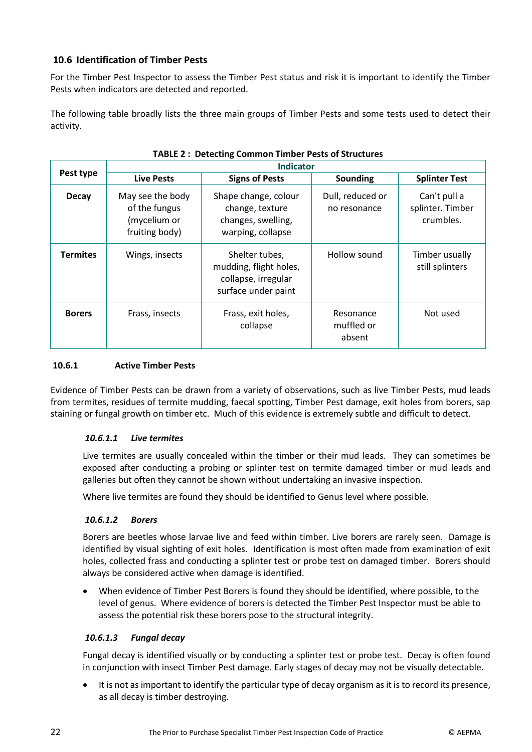# <span id="page-22-0"></span>**10.6 Identification of Timber Pests**

For the Timber Pest Inspector to assess the Timber Pest status and risk it is important to identify the Timber Pests when indicators are detected and reported.

The following table broadly lists the three main groups of Timber Pests and some tests used to detect their activity.

| TABLE 2. DETECTING COMMON TIMBER FESTS OF STRUCTURES |                                                                     |                                                                                        |                                   |                                               |  |  |  |
|------------------------------------------------------|---------------------------------------------------------------------|----------------------------------------------------------------------------------------|-----------------------------------|-----------------------------------------------|--|--|--|
|                                                      | <b>Indicator</b>                                                    |                                                                                        |                                   |                                               |  |  |  |
| Pest type                                            | <b>Live Pests</b>                                                   | <b>Signs of Pests</b>                                                                  | Sounding                          | <b>Splinter Test</b>                          |  |  |  |
| <b>Decay</b>                                         | May see the body<br>of the fungus<br>(mycelium or<br>fruiting body) | Shape change, colour<br>change, texture<br>changes, swelling,<br>warping, collapse     | Dull, reduced or<br>no resonance  | Can't pull a<br>splinter. Timber<br>crumbles. |  |  |  |
| <b>Termites</b>                                      | Wings, insects                                                      | Shelter tubes,<br>mudding, flight holes,<br>collapse, irregular<br>surface under paint | Hollow sound                      | Timber usually<br>still splinters             |  |  |  |
| <b>Borers</b>                                        | Frass, insects                                                      | Frass, exit holes,<br>collapse                                                         | Resonance<br>muffled or<br>absent | Not used                                      |  |  |  |

# **TABLE 2 : Detecting Common Timber Pests of Structures**

#### <span id="page-22-1"></span>**10.6.1 Active Timber Pests**

Evidence of Timber Pests can be drawn from a variety of observations, such as live Timber Pests, mud leads from termites, residues of termite mudding, faecal spotting, Timber Pest damage, exit holes from borers, sap staining or fungal growth on timber etc. Much of this evidence is extremely subtle and difficult to detect.

#### *10.6.1.1 Live termites*

Live termites are usually concealed within the timber or their mud leads. They can sometimes be exposed after conducting a probing or splinter test on termite damaged timber or mud leads and galleries but often they cannot be shown without undertaking an invasive inspection.

Where live termites are found they should be identified to Genus level where possible.

#### *10.6.1.2 Borers*

Borers are beetles whose larvae live and feed within timber. Live borers are rarely seen. Damage is identified by visual sighting of exit holes. Identification is most often made from examination of exit holes, collected frass and conducting a splinter test or probe test on damaged timber. Borers should always be considered active when damage is identified.

 When evidence of Timber Pest Borers is found they should be identified, where possible, to the level of genus. Where evidence of borers is detected the Timber Pest Inspector must be able to assess the potential risk these borers pose to the structural integrity.

#### *10.6.1.3 Fungal decay*

Fungal decay is identified visually or by conducting a splinter test or probe test. Decay is often found in conjunction with insect Timber Pest damage. Early stages of decay may not be visually detectable.

 It is not as important to identify the particular type of decay organism as it is to record its presence, as all decay is timber destroying.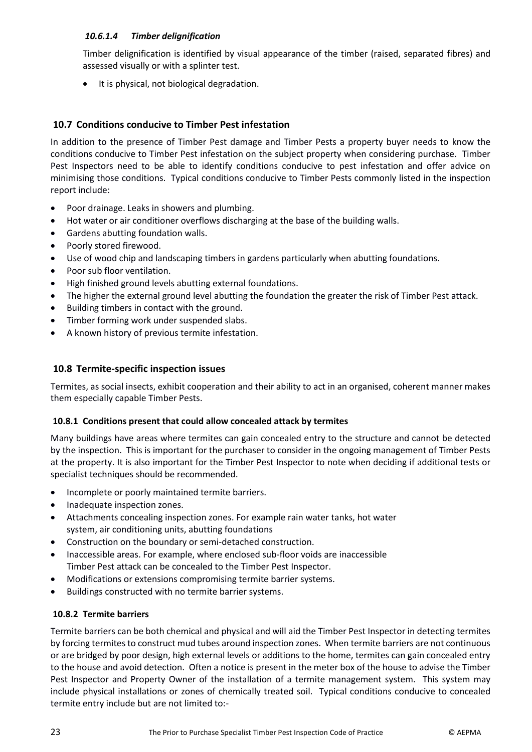# *10.6.1.4 Timber delignification*

Timber delignification is identified by visual appearance of the timber (raised, separated fibres) and assessed visually or with a splinter test.

It is physical, not biological degradation.

# <span id="page-23-0"></span>**10.7 Conditions conducive to Timber Pest infestation**

In addition to the presence of Timber Pest damage and Timber Pests a property buyer needs to know the conditions conducive to Timber Pest infestation on the subject property when considering purchase. Timber Pest Inspectors need to be able to identify conditions conducive to pest infestation and offer advice on minimising those conditions. Typical conditions conducive to Timber Pests commonly listed in the inspection report include:

- Poor drainage. Leaks in showers and plumbing.
- Hot water or air conditioner overflows discharging at the base of the building walls.
- Gardens abutting foundation walls.
- Poorly stored firewood.
- Use of wood chip and landscaping timbers in gardens particularly when abutting foundations.
- Poor sub floor ventilation.
- High finished ground levels abutting external foundations.
- The higher the external ground level abutting the foundation the greater the risk of Timber Pest attack.
- Building timbers in contact with the ground.
- Timber forming work under suspended slabs.
- A known history of previous termite infestation.

# <span id="page-23-1"></span>**10.8 Termite-specific inspection issues**

Termites, as social insects, exhibit cooperation and their ability to act in an organised, coherent manner makes them especially capable Timber Pests.

# <span id="page-23-2"></span>**10.8.1 Conditions present that could allow concealed attack by termites**

Many buildings have areas where termites can gain concealed entry to the structure and cannot be detected by the inspection. This is important for the purchaser to consider in the ongoing management of Timber Pests at the property. It is also important for the Timber Pest Inspector to note when deciding if additional tests or specialist techniques should be recommended.

- Incomplete or poorly maintained termite barriers.
- Inadequate inspection zones.
- Attachments concealing inspection zones. For example rain water tanks, hot water system, air conditioning units, abutting foundations
- Construction on the boundary or semi-detached construction.
- Inaccessible areas. For example, where enclosed sub-floor voids are inaccessible Timber Pest attack can be concealed to the Timber Pest Inspector.
- Modifications or extensions compromising termite barrier systems.
- Buildings constructed with no termite barrier systems.

# <span id="page-23-3"></span>**10.8.2 Termite barriers**

Termite barriers can be both chemical and physical and will aid the Timber Pest Inspector in detecting termites by forcing termites to construct mud tubes around inspection zones. When termite barriers are not continuous or are bridged by poor design, high external levels or additions to the home, termites can gain concealed entry to the house and avoid detection. Often a notice is present in the meter box of the house to advise the Timber Pest Inspector and Property Owner of the installation of a termite management system. This system may include physical installations or zones of chemically treated soil. Typical conditions conducive to concealed termite entry include but are not limited to:-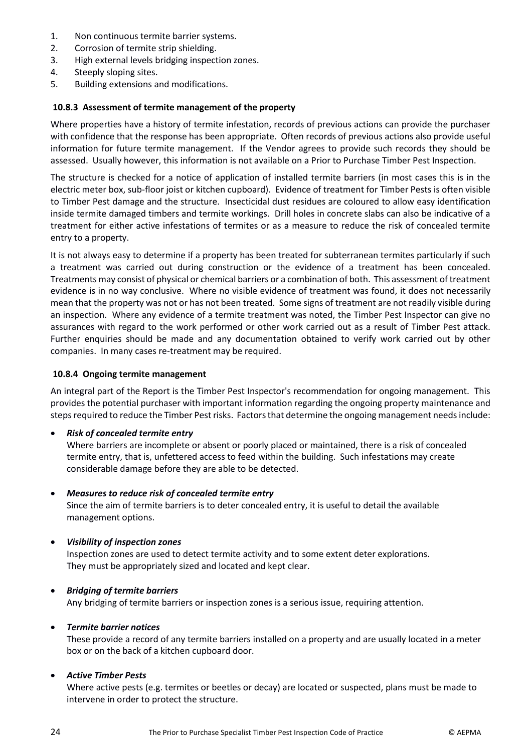- 1. Non continuous termite barrier systems.
- 2. Corrosion of termite strip shielding.
- 3. High external levels bridging inspection zones.
- 4. Steeply sloping sites.
- <span id="page-24-0"></span>5. Building extensions and modifications.

#### **10.8.3 Assessment of termite management of the property**

Where properties have a history of termite infestation, records of previous actions can provide the purchaser with confidence that the response has been appropriate. Often records of previous actions also provide useful information for future termite management. If the Vendor agrees to provide such records they should be assessed. Usually however, this information is not available on a Prior to Purchase Timber Pest Inspection.

The structure is checked for a notice of application of installed termite barriers (in most cases this is in the electric meter box, sub-floor joist or kitchen cupboard). Evidence of treatment for Timber Pests is often visible to Timber Pest damage and the structure. Insecticidal dust residues are coloured to allow easy identification inside termite damaged timbers and termite workings. Drill holes in concrete slabs can also be indicative of a treatment for either active infestations of termites or as a measure to reduce the risk of concealed termite entry to a property.

It is not always easy to determine if a property has been treated for subterranean termites particularly if such a treatment was carried out during construction or the evidence of a treatment has been concealed. Treatments may consist of physical or chemical barriers or a combination of both. This assessment of treatment evidence is in no way conclusive. Where no visible evidence of treatment was found, it does not necessarily mean that the property was not or has not been treated. Some signs of treatment are not readily visible during an inspection. Where any evidence of a termite treatment was noted, the Timber Pest Inspector can give no assurances with regard to the work performed or other work carried out as a result of Timber Pest attack. Further enquiries should be made and any documentation obtained to verify work carried out by other companies. In many cases re-treatment may be required.

#### <span id="page-24-1"></span>**10.8.4 Ongoing termite management**

An integral part of the Report is the Timber Pest Inspector's recommendation for ongoing management. This provides the potential purchaser with important information regarding the ongoing property maintenance and steps required to reduce the Timber Pest risks. Factors that determine the ongoing management needs include:

*Risk of concealed termite entry*

Where barriers are incomplete or absent or poorly placed or maintained, there is a risk of concealed termite entry, that is, unfettered access to feed within the building. Such infestations may create considerable damage before they are able to be detected.

*Measures to reduce risk of concealed termite entry*

Since the aim of termite barriers is to deter concealed entry, it is useful to detail the available management options.

# *Visibility of inspection zones*

Inspection zones are used to detect termite activity and to some extent deter explorations. They must be appropriately sized and located and kept clear.

#### *Bridging of termite barriers*

Any bridging of termite barriers or inspection zones is a serious issue, requiring attention.

#### *Termite barrier notices*

These provide a record of any termite barriers installed on a property and are usually located in a meter box or on the back of a kitchen cupboard door.

# *Active Timber Pests*

Where active pests (e.g. termites or beetles or decay) are located or suspected, plans must be made to intervene in order to protect the structure.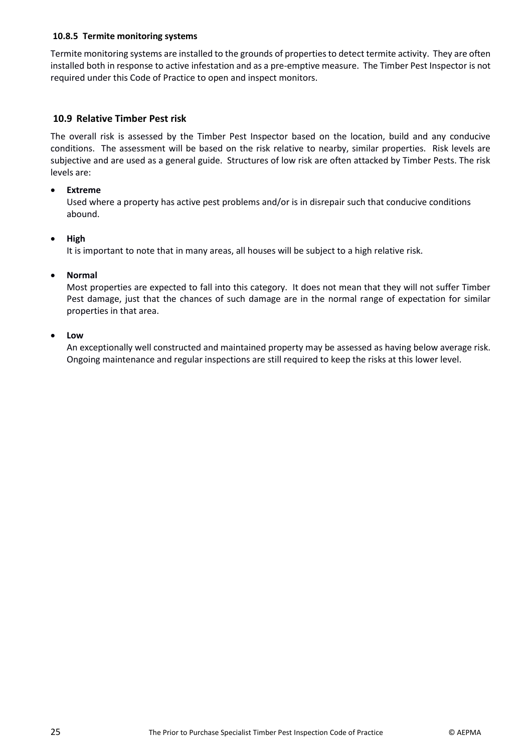#### <span id="page-25-0"></span>**10.8.5 Termite monitoring systems**

Termite monitoring systems are installed to the grounds of properties to detect termite activity. They are often installed both in response to active infestation and as a pre-emptive measure. The Timber Pest Inspector is not required under this Code of Practice to open and inspect monitors.

### <span id="page-25-1"></span>**10.9 Relative Timber Pest risk**

The overall risk is assessed by the Timber Pest Inspector based on the location, build and any conducive conditions. The assessment will be based on the risk relative to nearby, similar properties. Risk levels are subjective and are used as a general guide. Structures of low risk are often attacked by Timber Pests. The risk levels are:

#### **Extreme**

Used where a property has active pest problems and/or is in disrepair such that conducive conditions abound.

#### **High**

It is important to note that in many areas, all houses will be subject to a high relative risk.

#### **Normal**

Most properties are expected to fall into this category. It does not mean that they will not suffer Timber Pest damage, just that the chances of such damage are in the normal range of expectation for similar properties in that area.

#### **Low**

An exceptionally well constructed and maintained property may be assessed as having below average risk. Ongoing maintenance and regular inspections are still required to keep the risks at this lower level.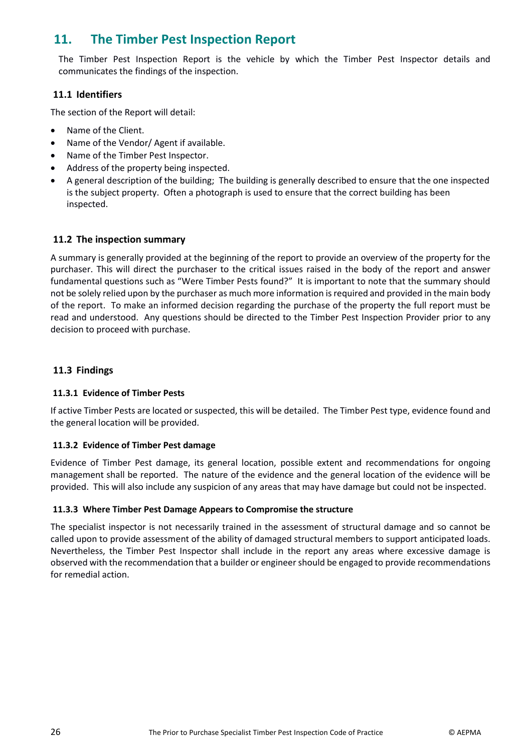# <span id="page-26-0"></span>**11. The Timber Pest Inspection Report**

The Timber Pest Inspection Report is the vehicle by which the Timber Pest Inspector details and communicates the findings of the inspection.

# <span id="page-26-1"></span>**11.1 Identifiers**

The section of the Report will detail:

- Name of the Client.
- Name of the Vendor/ Agent if available.
- Name of the Timber Pest Inspector.
- Address of the property being inspected.
- A general description of the building; The building is generally described to ensure that the one inspected is the subject property. Often a photograph is used to ensure that the correct building has been inspected.

#### <span id="page-26-2"></span>**11.2 The inspection summary**

A summary is generally provided at the beginning of the report to provide an overview of the property for the purchaser. This will direct the purchaser to the critical issues raised in the body of the report and answer fundamental questions such as "Were Timber Pests found?" It is important to note that the summary should not be solely relied upon by the purchaser as much more information is required and provided in the main body of the report. To make an informed decision regarding the purchase of the property the full report must be read and understood. Any questions should be directed to the Timber Pest Inspection Provider prior to any decision to proceed with purchase.

#### <span id="page-26-3"></span>**11.3 Findings**

#### <span id="page-26-4"></span>**11.3.1 Evidence of Timber Pests**

If active Timber Pests are located or suspected, this will be detailed. The Timber Pest type, evidence found and the general location will be provided.

#### <span id="page-26-5"></span>**11.3.2 Evidence of Timber Pest damage**

Evidence of Timber Pest damage, its general location, possible extent and recommendations for ongoing management shall be reported. The nature of the evidence and the general location of the evidence will be provided. This will also include any suspicion of any areas that may have damage but could not be inspected.

#### <span id="page-26-6"></span>**11.3.3 Where Timber Pest Damage Appears to Compromise the structure**

The specialist inspector is not necessarily trained in the assessment of structural damage and so cannot be called upon to provide assessment of the ability of damaged structural members to support anticipated loads. Nevertheless, the Timber Pest Inspector shall include in the report any areas where excessive damage is observed with the recommendation that a builder or engineer should be engaged to provide recommendations for remedial action.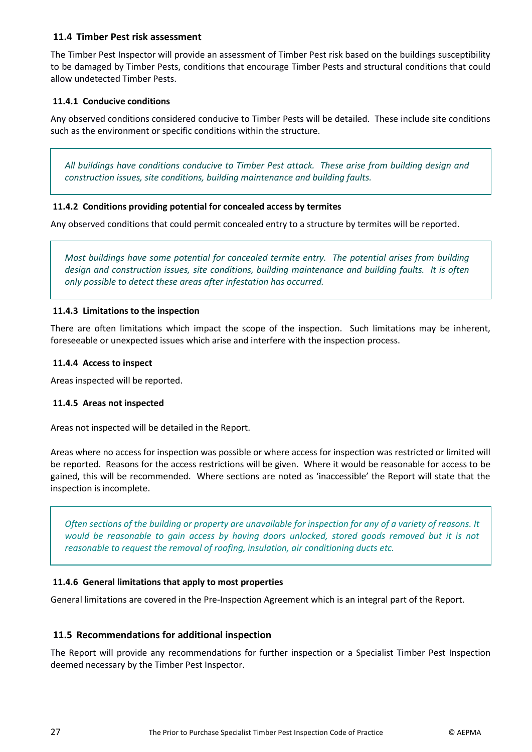# <span id="page-27-0"></span>**11.4 Timber Pest risk assessment**

The Timber Pest Inspector will provide an assessment of Timber Pest risk based on the buildings susceptibility to be damaged by Timber Pests, conditions that encourage Timber Pests and structural conditions that could allow undetected Timber Pests.

#### <span id="page-27-1"></span>**11.4.1 Conducive conditions**

Any observed conditions considered conducive to Timber Pests will be detailed. These include site conditions such as the environment or specific conditions within the structure.

*All buildings have conditions conducive to Timber Pest attack. These arise from building design and construction issues, site conditions, building maintenance and building faults.*

#### <span id="page-27-2"></span>**11.4.2 Conditions providing potential for concealed access by termites**

Any observed conditions that could permit concealed entry to a structure by termites will be reported.

*Most buildings have some potential for concealed termite entry. The potential arises from building design and construction issues, site conditions, building maintenance and building faults. It is often only possible to detect these areas after infestation has occurred.*

#### <span id="page-27-3"></span>**11.4.3 Limitations to the inspection**

There are often limitations which impact the scope of the inspection. Such limitations may be inherent, foreseeable or unexpected issues which arise and interfere with the inspection process.

#### <span id="page-27-4"></span>**11.4.4 Access to inspect**

<span id="page-27-5"></span>Areas inspected will be reported.

#### **11.4.5 Areas not inspected**

Areas not inspected will be detailed in the Report.

Areas where no access for inspection was possible or where access for inspection was restricted or limited will be reported. Reasons for the access restrictions will be given. Where it would be reasonable for access to be gained, this will be recommended. Where sections are noted as 'inaccessible' the Report will state that the inspection is incomplete.

*Often sections of the building or property are unavailable for inspection for any of a variety of reasons. It would be reasonable to gain access by having doors unlocked, stored goods removed but it is not reasonable to request the removal of roofing, insulation, air conditioning ducts etc.* 

#### <span id="page-27-6"></span>**11.4.6 General limitations that apply to most properties**

General limitations are covered in the Pre-Inspection Agreement which is an integral part of the Report.

#### <span id="page-27-7"></span>**11.5 Recommendations for additional inspection**

The Report will provide any recommendations for further inspection or a Specialist Timber Pest Inspection deemed necessary by the Timber Pest Inspector.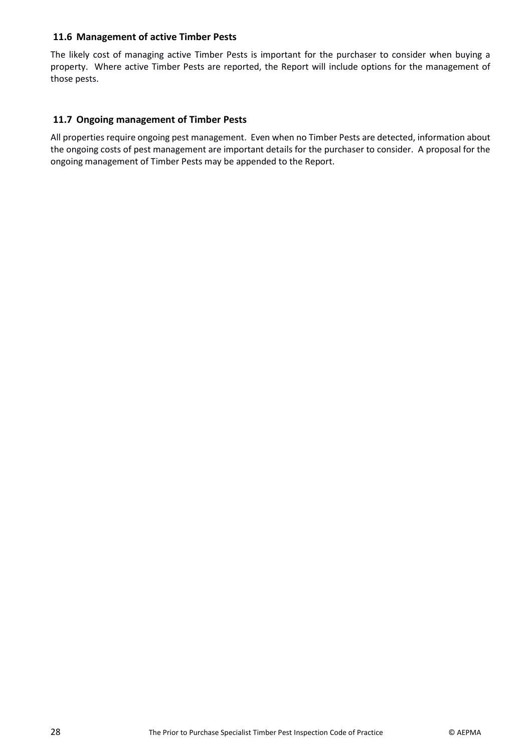# <span id="page-28-0"></span>**11.6 Management of active Timber Pests**

The likely cost of managing active Timber Pests is important for the purchaser to consider when buying a property. Where active Timber Pests are reported, the Report will include options for the management of those pests.

# <span id="page-28-1"></span>**11.7 Ongoing management of Timber Pests**

All properties require ongoing pest management. Even when no Timber Pests are detected, information about the ongoing costs of pest management are important details for the purchaser to consider. A proposal for the ongoing management of Timber Pests may be appended to the Report.